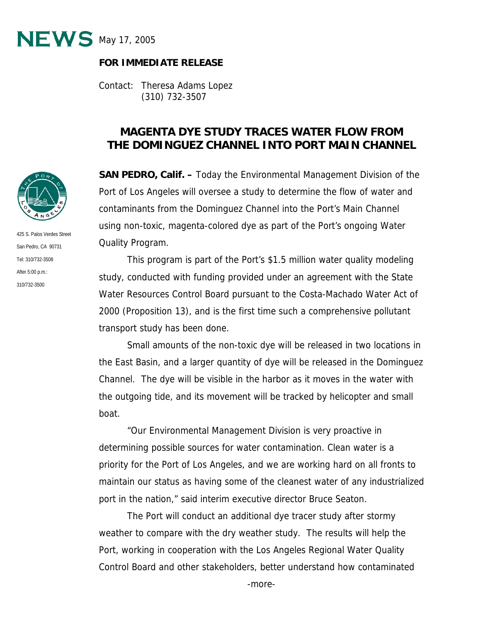

## **FOR IMMEDIATE RELEASE**

Contact: Theresa Adams Lopez (310) 732-3507

## **MAGENTA DYE STUDY TRACES WATER FLOW FROM THE DOMINGUEZ CHANNEL INTO PORT MAIN CHANNEL**

**SAN PEDRO, Calif. –** Today the Environmental Management Division of the Port of Los Angeles will oversee a study to determine the flow of water and contaminants from the Dominguez Channel into the Port's Main Channel using non-toxic, magenta-colored dye as part of the Port's ongoing Water Quality Program.

This program is part of the Port's \$1.5 million water quality modeling study, conducted with funding provided under an agreement with the State Water Resources Control Board pursuant to the Costa-Machado Water Act of 2000 (Proposition 13), and is the first time such a comprehensive pollutant transport study has been done.

Small amounts of the non-toxic dye will be released in two locations in the East Basin, and a larger quantity of dye will be released in the Dominguez Channel. The dye will be visible in the harbor as it moves in the water with the outgoing tide, and its movement will be tracked by helicopter and small boat.

"Our Environmental Management Division is very proactive in determining possible sources for water contamination. Clean water is a priority for the Port of Los Angeles, and we are working hard on all fronts to maintain our status as having some of the cleanest water of any industrialized port in the nation," said interim executive director Bruce Seaton.

The Port will conduct an additional dye tracer study after stormy weather to compare with the dry weather study. The results will help the Port, working in cooperation with the Los Angeles Regional Water Quality Control Board and other stakeholders, better understand how contaminated



425 S. Palos Verdes Street San Pedro, CA 90731 Tel: 310/732-3508 After 5:00 p.m.: 310/732-3500